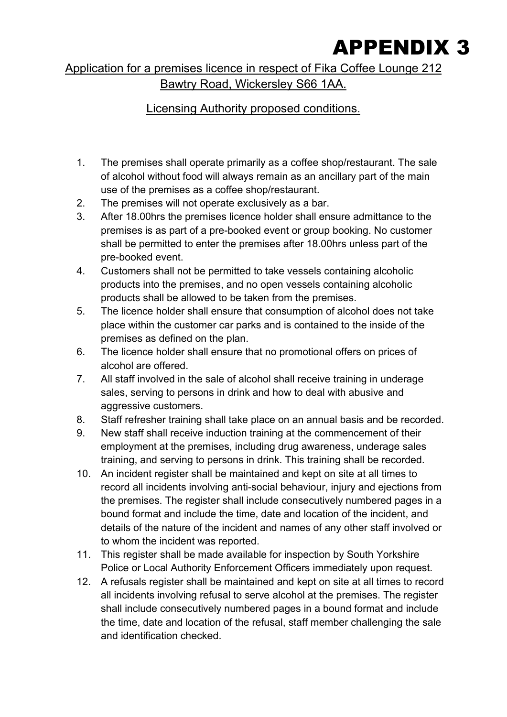## APPENDIX 3

Application for a premises licence in respect of Fika Coffee Lounge 212 Bawtry Road, Wickersley S66 1AA.

Licensing Authority proposed conditions.

- 1. The premises shall operate primarily as a coffee shop/restaurant. The sale of alcohol without food will always remain as an ancillary part of the main use of the premises as a coffee shop/restaurant.
- 2. The premises will not operate exclusively as a bar.
- 3. After 18.00hrs the premises licence holder shall ensure admittance to the premises is as part of a pre-booked event or group booking. No customer shall be permitted to enter the premises after 18.00hrs unless part of the pre-booked event.
- 4. Customers shall not be permitted to take vessels containing alcoholic products into the premises, and no open vessels containing alcoholic products shall be allowed to be taken from the premises.
- 5. The licence holder shall ensure that consumption of alcohol does not take place within the customer car parks and is contained to the inside of the premises as defined on the plan.
- 6. The licence holder shall ensure that no promotional offers on prices of alcohol are offered.
- 7. All staff involved in the sale of alcohol shall receive training in underage sales, serving to persons in drink and how to deal with abusive and aggressive customers.
- 8. Staff refresher training shall take place on an annual basis and be recorded.
- 9. New staff shall receive induction training at the commencement of their employment at the premises, including drug awareness, underage sales training, and serving to persons in drink. This training shall be recorded.
- 10. An incident register shall be maintained and kept on site at all times to record all incidents involving anti-social behaviour, injury and ejections from the premises. The register shall include consecutively numbered pages in a bound format and include the time, date and location of the incident, and details of the nature of the incident and names of any other staff involved or to whom the incident was reported.
- 11. This register shall be made available for inspection by South Yorkshire Police or Local Authority Enforcement Officers immediately upon request.
- 12. A refusals register shall be maintained and kept on site at all times to record all incidents involving refusal to serve alcohol at the premises. The register shall include consecutively numbered pages in a bound format and include the time, date and location of the refusal, staff member challenging the sale and identification checked.